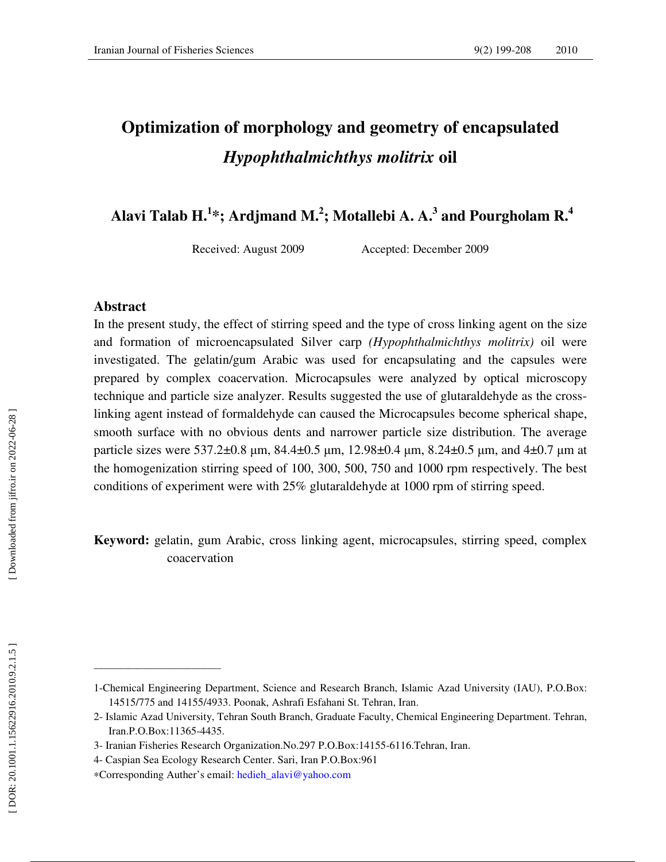# **Optimization of morphology and geometry of encapsulated**  *Hypophthalmichthys molitrix* **oil**

 **Alavi Talab H. 1 \*; Ardjmand M. 2 ; Motallebi A. A. 3 and Pourgholam R.<sup>4</sup>**

Received: August 2009 Accepted: December 2009

## **Abstract**

In the present study, the effect of stirring speed and the type of cross linking agent on the size and formation of microencapsulated Silver carp *(Hypophthalmichthys molitrix)* oil were investigated. The gelatin/gum Arabic was used for encapsulating and the capsules were prepared by complex coacervation. Microcapsules were analyzed by optical microscopy technique and particle size analyzer. Results suggested the use of glutaraldehyde as the crosslinking agent instead of formaldehyde can caused the Microcapsules become spherical shape, smooth surface with no obvious dents and narrower particle size distribution. The average particle sizes were 537.2±0.8 μm, 84.4±0.5 μm, 12.98±0.4 μm, 8.24±0.5 μm, and 4±0.7 μm at the homogenization stirring speed of 100, 300, 500, 750 and 1000 rpm respectively. The best conditions of experiment were with 25% glutaraldehyde at 1000 rpm of stirring speed.

**Keyword:** gelatin, gum Arabic, cross linking agent, microcapsules, stirring speed, complex coacervation

\_\_\_\_\_\_\_\_\_\_\_\_\_\_\_\_\_\_\_\_\_\_\_\_\_\_

<sup>1-</sup>Chemical Engineering Department, Science and Research Branch, Islamic Azad University (IAU), P.O.Box: 14515/775 and 14155/4933. Poonak, Ashrafi Esfahani St. Tehran, Iran.

<sup>2-</sup> Islamic Azad University, Tehran South Branch, Graduate Faculty, Chemical Engineering Department. Tehran, Iran.P.O.Box:11365-4435.

<sup>3-</sup> Iranian Fisheries Research Organization.No.297 P.O.Box:14155-6116.Tehran, Iran.

<sup>4-</sup> Caspian Sea Ecology Research Center. Sari, Iran P.O.Box:961

<sup>∗</sup>Corresponding Auther's email: hedieh\_alavi@yahoo.com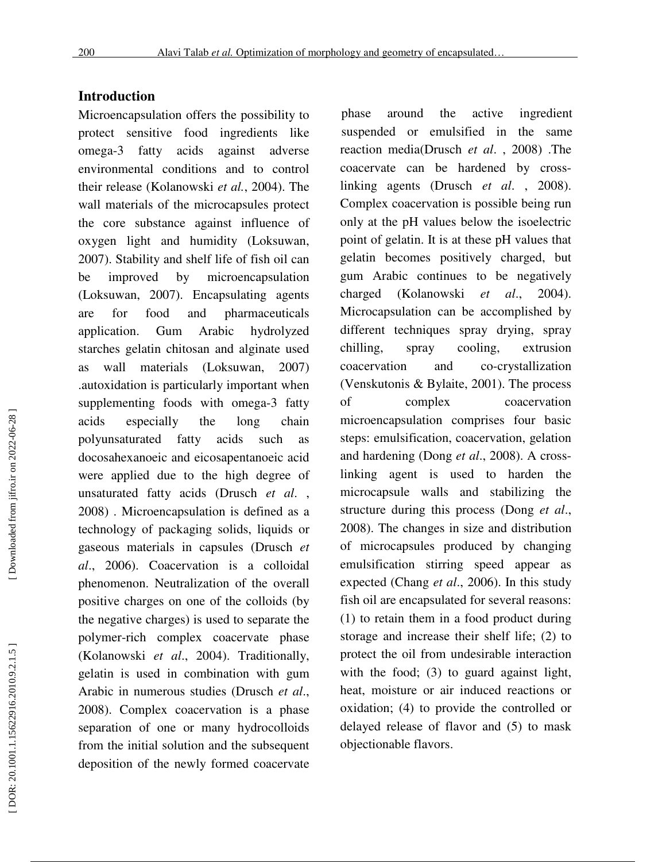# **Introduction**

Microencapsulation offers the possibility to protect sensitive food ingredients like omega-3 fatty acids against adverse environmental conditions and to control their release (Kolanowski *et al.*, 2004). The wall materials of the microcapsules protect the core substance against influence of oxygen light and humidity (Loksuwan, 2007). Stability and shelf life of fish oil can be improved by microencapsulation (Loksuwan, 2007). Encapsulating agents are for food and pharmaceuticals application. Gum Arabic hydrolyzed starches gelatin chitosan and alginate used as wall materials (Loksuwan, 2007) .autoxidation is particularly important when supplementing foods with omega-3 fatty acids especially the long chain polyunsaturated fatty acids such as docosahexanoeic and eicosapentanoeic acid were applied due to the high degree of unsaturated fatty acids (Drusch *et al*. , 2008) . Microencapsulation is defined as a technology of packaging solids, liquids or gaseous materials in capsules (Drusch *et al*., 2006). Coacervation is a colloidal phenomenon. Neutralization of the overall positive charges on one of the colloids (by the negative charges) is used to separate the polymer-rich complex coacervate phase (Kolanowski *et al*., 2004). Traditionally, gelatin is used in combination with gum Arabic in numerous studies (Drusch *et al*., 2008). Complex coacervation is a phase separation of one or many hydrocolloids from the initial solution and the subsequent deposition of the newly formed coacervate phase around the active ingredient suspended or emulsified in the same reaction media(Drusch *et al*. , 2008) .The coacervate can be hardened by crosslinking agents (Drusch *et al*. , 2008). Complex coacervation is possible being run only at the pH values below the isoelectric point of gelatin. It is at these pH values that gelatin becomes positively charged, but gum Arabic continues to be negatively charged (Kolanowski *et al*., 2004). Microcapsulation can be accomplished by different techniques spray drying, spray chilling, spray cooling, extrusion coacervation and co-crystallization (Venskutonis & Bylaite, 2001). The process of complex coacervation microencapsulation comprises four basic steps: emulsification, coacervation, gelation and hardening (Dong *et al*., 2008). A crosslinking agent is used to harden the microcapsule walls and stabilizing the structure during this process (Dong *et al*., 2008). The changes in size and distribution of microcapsules produced by changing emulsification stirring speed appear as expected (Chang *et al*., 2006). In this study fish oil are encapsulated for several reasons: (1) to retain them in a food product during storage and increase their shelf life; (2) to protect the oil from undesirable interaction with the food; (3) to guard against light, heat, moisture or air induced reactions or oxidation; (4) to provide the controlled or delayed release of flavor and (5) to mask objectionable flavors.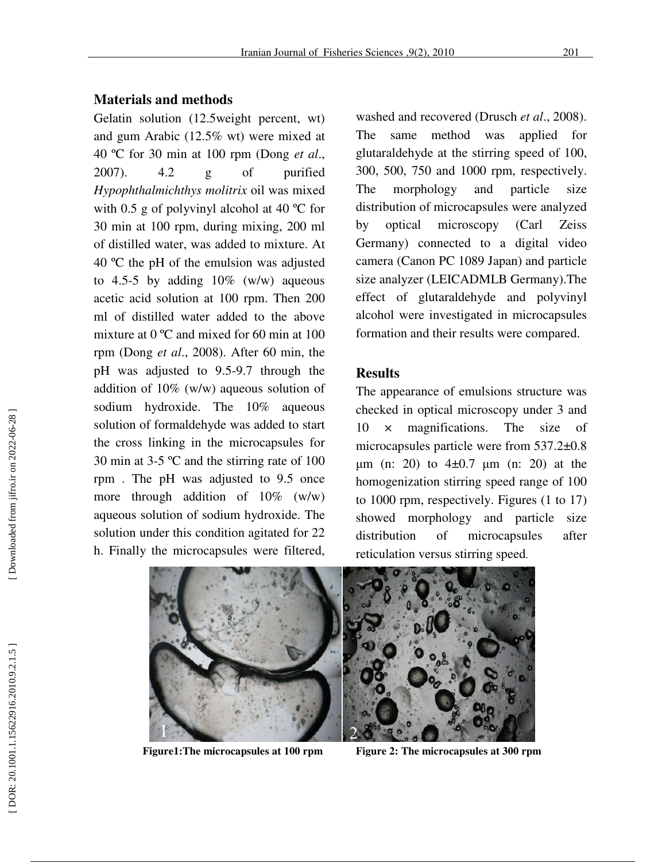#### **Materials and methods**

Gelatin solution (12.5weight percent, wt) and gum Arabic (12.5% wt) were mixed at 40 ºC for 30 min at 100 rpm (Dong *et al*., 2007). 4.2 g of purified *Hypophthalmichthys molitrix* oil was mixed with 0.5 g of polyvinyl alcohol at 40 °C for 30 min at 100 rpm, during mixing, 200 ml of distilled water, was added to mixture. At 40 ºC the pH of the emulsion was adjusted to 4.5-5 by adding  $10\%$  (w/w) aqueous acetic acid solution at 100 rpm. Then 200 ml of distilled water added to the above mixture at 0 ºC and mixed for 60 min at 100 rpm (Dong *et al*., 2008). After 60 min, the pH was adjusted to 9.5-9.7 through the addition of 10% (w/w) aqueous solution of sodium hydroxide. The 10% aqueous solution of formaldehyde was added to start the cross linking in the microcapsules for 30 min at 3-5 ºC and the stirring rate of 100 rpm . The pH was adjusted to 9.5 once more through addition of 10% (w/w) aqueous solution of sodium hydroxide. The solution under this condition agitated for 22 h. Finally the microcapsules were filtered,

washed and recovered (Drusch *et al*., 2008). The same method was applied for glutaraldehyde at the stirring speed of 100, 300, 500, 750 and 1000 rpm, respectively. The morphology and particle size distribution of microcapsules were analyzed by optical microscopy (Carl Zeiss Germany) connected to a digital video camera (Canon PC 1089 Japan) and particle size analyzer (LEICADMLB Germany).The effect of glutaraldehyde and polyvinyl alcohol were investigated in microcapsules formation and their results were compared.

#### **Results**

The appearance of emulsions structure was checked in optical microscopy under 3 and 10 × magnifications. The size of microcapsules particle were from 537.2±0.8  $\mu$ m (n: 20) to 4 $\pm$ 0.7  $\mu$ m (n: 20) at the homogenization stirring speed range of 100 to 1000 rpm, respectively. Figures (1 to 17) showed morphology and particle size distribution of microcapsules after reticulation versus stirring speed.



**Figure1:The microcapsules at 100 rpm Figure 2: The microcapsules at 300 rpm**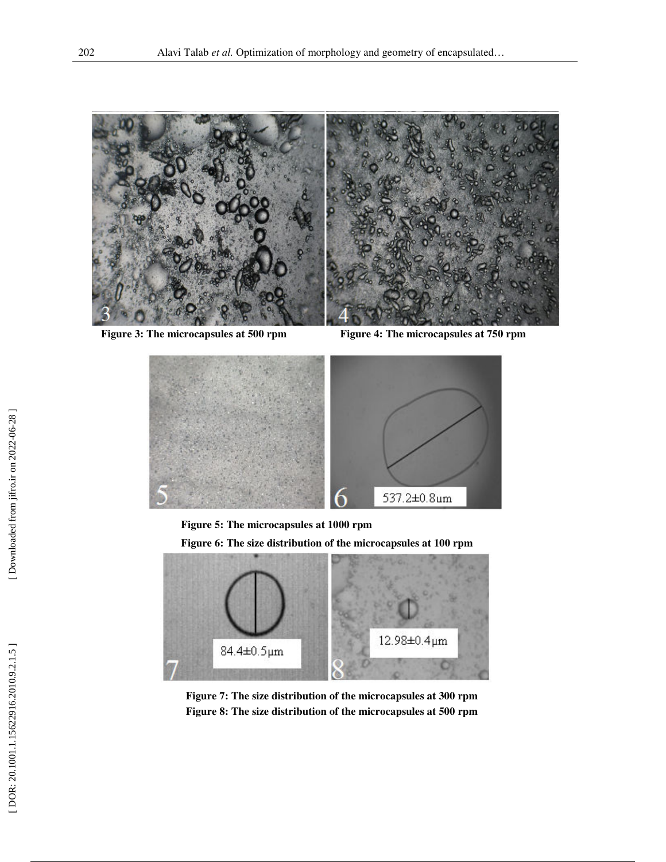

**Figure 3: The microcapsules at 500 rpm Figure 4: The microcapsules at 750 rpm**



**Figure 5: The microcapsules at 1000 rpm** 

**Figure 6: The size distribution of the microcapsules at 100 rpm**



**Figure 7: The size distribution of the microcapsules at 300 rpm Figure 8: The size distribution of the microcapsules at 500 rpm**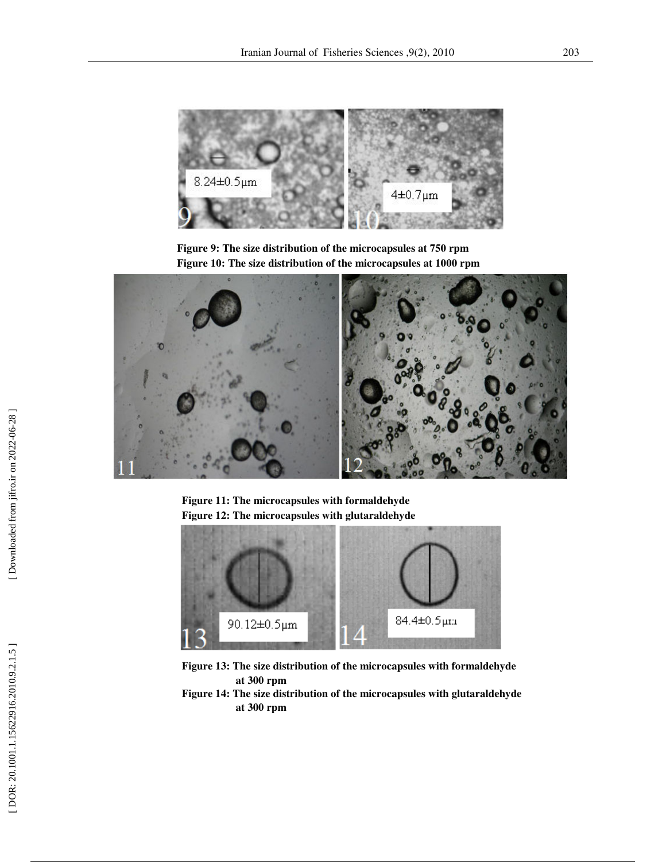

**Figure 9: The size distribution of the microcapsules at 750 rpm Figure 10: The size distribution of the microcapsules at 1000 rpm** 



**Figure 11: The microcapsules with formaldehyde Figure 12: The microcapsules with glutaraldehyde**



**Figure 13: The size distribution of the microcapsules with formaldehyde at 300 rpm** 

**Figure 14: The size distribution of the microcapsules with glutaraldehyde at 300 rpm**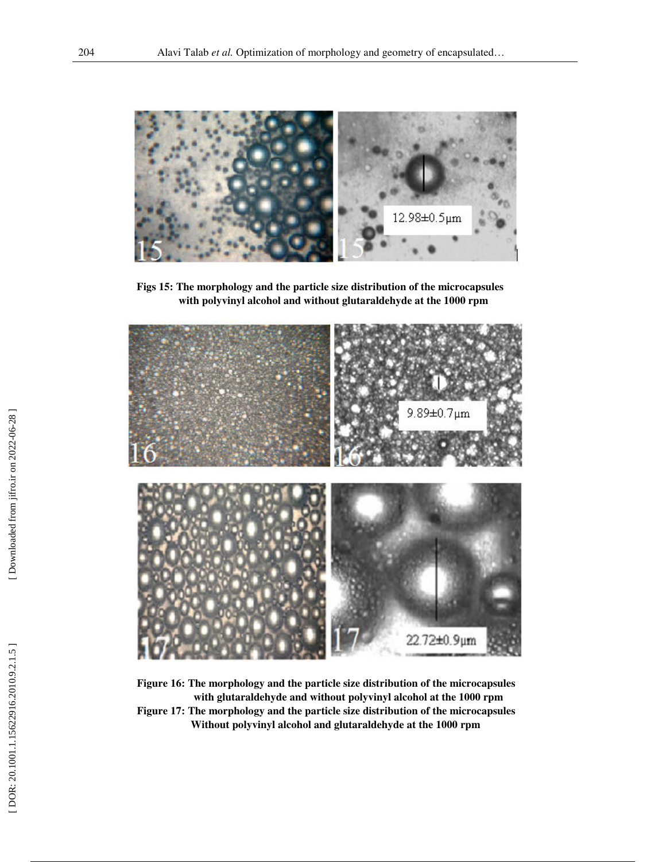

**Figs 15: The morphology and the particle size distribution of the microcapsules with polyvinyl alcohol and without glutaraldehyde at the 1000 rpm** 



**Figure 16: The morphology and the particle size distribution of the microcapsules with glutaraldehyde and without polyvinyl alcohol at the 1000 rpm Figure 17: The morphology and the particle size distribution of the microcapsules Without polyvinyl alcohol and glutaraldehyde at the 1000 rpm**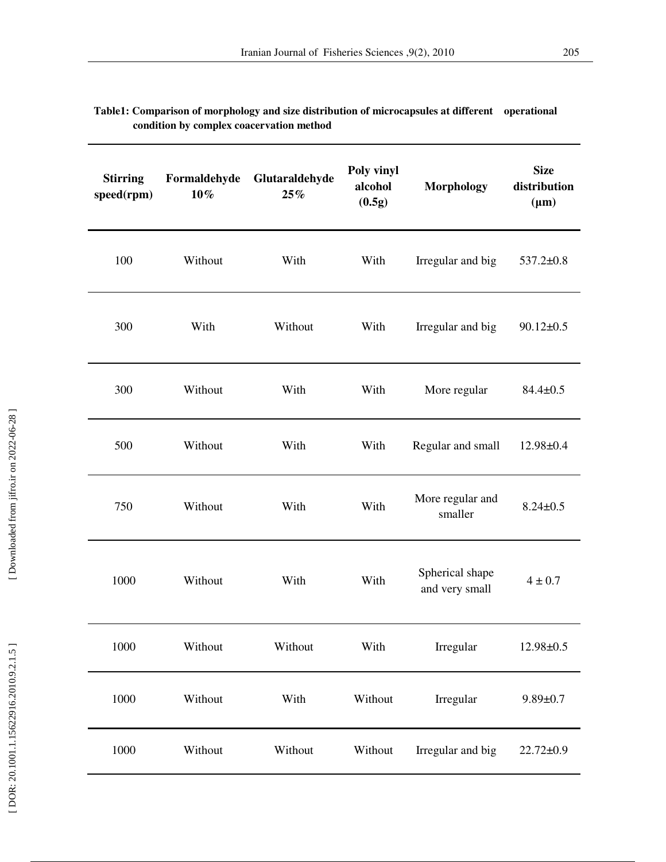| <b>Stirring</b><br>speed(rpm) | Formaldehyde<br>$10\%$ | Glutaraldehyde<br>25% | Poly vinyl<br>alcohol<br>(0.5g) | <b>Morphology</b>                 | <b>Size</b><br>distribution<br>$(\mu m)$ |
|-------------------------------|------------------------|-----------------------|---------------------------------|-----------------------------------|------------------------------------------|
| 100                           | Without                | With                  | With                            | Irregular and big                 | $537.2 \pm 0.8$                          |
| 300                           | With                   | Without               | With                            | Irregular and big                 | $90.12 \pm 0.5$                          |
| 300                           | Without                | With                  | With                            | More regular                      | $84.4 \pm 0.5$                           |
| 500                           | Without                | With                  | With                            | Regular and small                 | $12.98 \pm 0.4$                          |
| 750                           | Without                | With                  | With                            | More regular and<br>smaller       | $8.24 \pm 0.5$                           |
| 1000                          | Without                | With                  | With                            | Spherical shape<br>and very small | $4 \pm 0.7$                              |
| 1000                          | Without                | Without               | With                            | Irregular                         | 12.98±0.5                                |
| 1000                          | Without                | With                  | Without                         | Irregular                         | $9.89 \pm 0.7$                           |
| 1000                          | Without                | Without               | Without                         | Irregular and big                 | $22.72 \pm 0.9$                          |

| Table1: Comparison of morphology and size distribution of microcapsules at different operational |  |
|--------------------------------------------------------------------------------------------------|--|
| condition by complex coacervation method                                                         |  |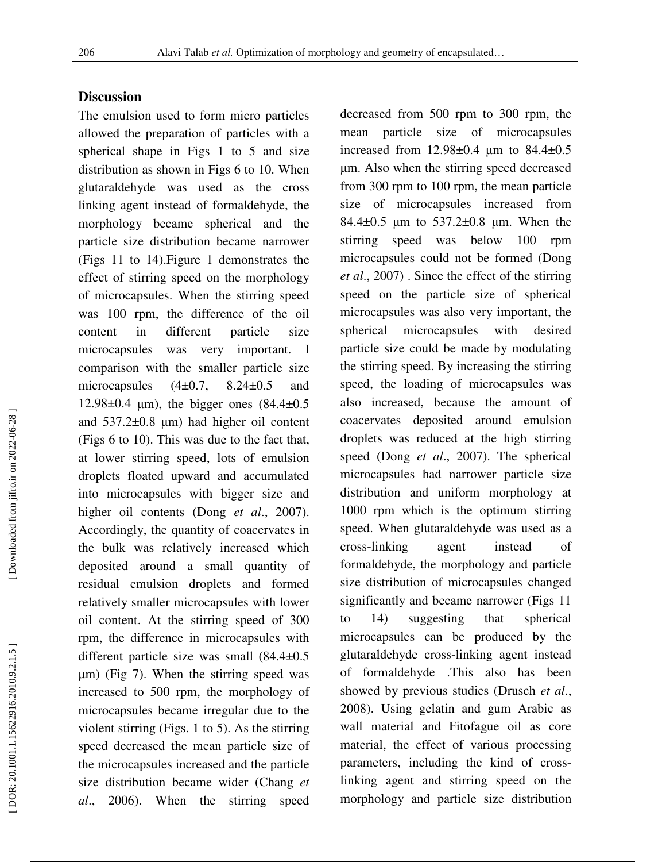### **Discussion**

The emulsion used to form micro particles allowed the preparation of particles with a spherical shape in Figs 1 to 5 and size distribution as shown in Figs 6 to 10. When glutaraldehyde was used as the cross linking agent instead of formaldehyde, the morphology became spherical and the particle size distribution became narrower (Figs 11 to 14).Figure 1 demonstrates the effect of stirring speed on the morphology of microcapsules. When the stirring speed was 100 rpm, the difference of the oil content in different particle size microcapsules was very important. I comparison with the smaller particle size microcapsules  $(4\pm 0.7, 8.24\pm 0.5$  and 12.98±0.4 µm), the bigger ones (84.4±0.5 and  $537.2\pm0.8$  µm) had higher oil content (Figs 6 to 10). This was due to the fact that, at lower stirring speed, lots of emulsion droplets floated upward and accumulated into microcapsules with bigger size and higher oil contents (Dong *et al*., 2007). Accordingly, the quantity of coacervates in the bulk was relatively increased which deposited around a small quantity of residual emulsion droplets and formed relatively smaller microcapsules with lower oil content. At the stirring speed of 300 rpm, the difference in microcapsules with different particle size was small (84.4±0.5 µm) (Fig 7). When the stirring speed was increased to 500 rpm, the morphology of microcapsules became irregular due to the violent stirring (Figs. 1 to 5). As the stirring speed decreased the mean particle size of the microcapsules increased and the particle size distribution became wider (Chang *et al*., 2006). When the stirring speed

decreased from 500 rpm to 300 rpm, the mean particle size of microcapsules increased from  $12.98 \pm 0.4$  µm to  $84.4 \pm 0.5$ µm. Also when the stirring speed decreased from 300 rpm to 100 rpm, the mean particle size of microcapsules increased from 84.4±0.5 µm to 537.2±0.8 µm. When the stirring speed was below 100 rpm microcapsules could not be formed (Dong *et al*., 2007) . Since the effect of the stirring speed on the particle size of spherical microcapsules was also very important, the spherical microcapsules with desired particle size could be made by modulating the stirring speed. By increasing the stirring speed, the loading of microcapsules was also increased, because the amount of coacervates deposited around emulsion droplets was reduced at the high stirring speed (Dong *et al*., 2007). The spherical microcapsules had narrower particle size distribution and uniform morphology at 1000 rpm which is the optimum stirring speed. When glutaraldehyde was used as a cross-linking agent instead of formaldehyde, the morphology and particle size distribution of microcapsules changed significantly and became narrower (Figs 11 to 14) suggesting that spherical microcapsules can be produced by the glutaraldehyde cross-linking agent instead of formaldehyde .This also has been showed by previous studies (Drusch *et al*., 2008). Using gelatin and gum Arabic as wall material and Fitofague oil as core material, the effect of various processing parameters, including the kind of crosslinking agent and stirring speed on the morphology and particle size distribution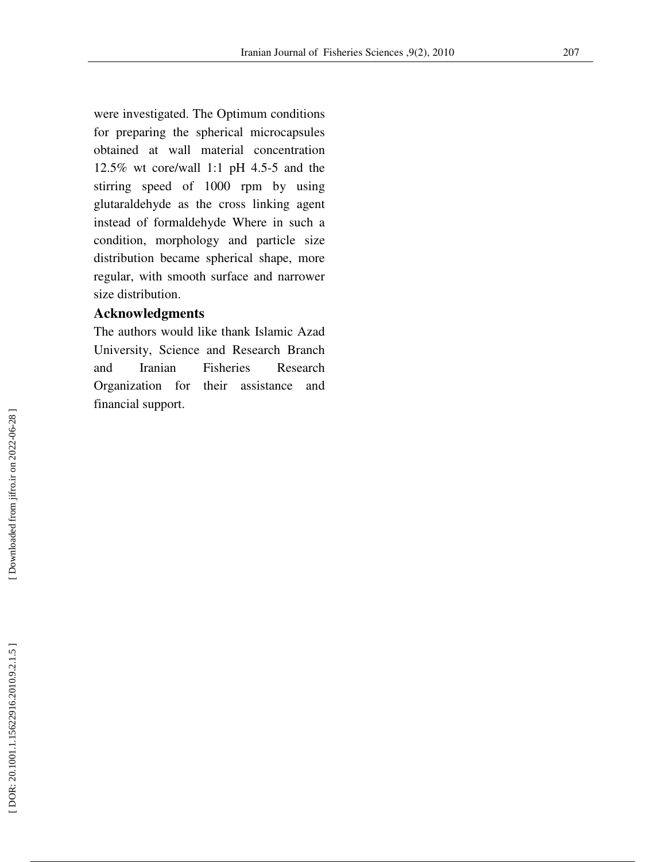were investigated. The Optimum conditions for preparing the spherical microcapsules obtained at wall material concentration 12.5% wt core/wall 1:1 pH 4.5-5 and the stirring speed of 1000 rpm by using glutaraldehyde as the cross linking agent instead of formaldehyde Where in such a condition, morphology and particle size distribution became spherical shape, more regular, with smooth surface and narrower size distribution.

# **Acknowledgments**

The authors would like thank Islamic Azad University, Science and Research Branch and Iranian Fisheries Research Organization for their assistance and financial support.